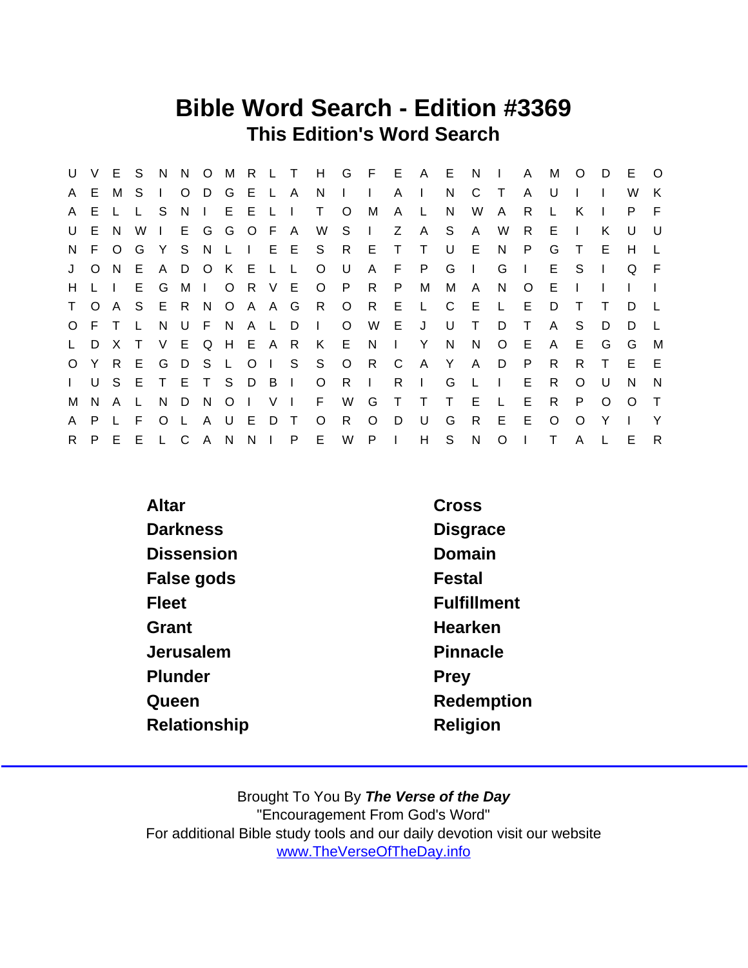## Bible Word Search - Edition #3369 This Edition's Word Search

| U               |         | V E S   |    | - N          |         |              |                |        |                |                  |              |         |              |              | NOMRLTHGFEAE |        | N              | $\Box$         | A            | M        | $\circ$  | D        | E        | $\circ$      |
|-----------------|---------|---------|----|--------------|---------|--------------|----------------|--------|----------------|------------------|--------------|---------|--------------|--------------|--------------|--------|----------------|----------------|--------------|----------|----------|----------|----------|--------------|
| $\mathsf{A}$    | E.      | М       | -S |              | $\circ$ |              | D G E L A      |        |                |                  | N            |         | $\mathbf{L}$ | A            | T            | N      | C              | Т              | A            | U        |          |          | W        | K            |
| $\mathsf{A}$    | E.      |         |    | -S           | N.      | $\mathbf{L}$ | E.             | E      | $\mathbf{L}$   |                  | Τ            | O       | м            | A            | L            | N      | W              | A              | R            |          | K        |          | P.       | -F           |
| U               | E.      | N.      | W  | $\mathbf{L}$ |         | E G          | G O F A        |        |                |                  | W            | S.      | $\Box$       | Z            | $\mathsf{A}$ | S      | A              | W              | $\mathsf{R}$ | E        |          | K        | U        | - U          |
| N.              | F.      | $\circ$ | G  | Y            | S.      | N.           | $\mathsf{L}$   | $\Box$ |                | E E              | S.           | R.      | E            | $\top$       | $\top$       | U      | E.             | N              | P            | G        | $\top$   | Е        | H        |              |
| J               | $\circ$ | N.      | E  | $\mathsf{A}$ | D       | $\circ$      | K E            |        | $\mathsf{L}$   | L                | O            | U       | A            | F.           | P.           | G      | $\blacksquare$ | G              | $\mathbf{L}$ | E.       | S.       |          | Q        | - F          |
| $H_{\perp}$     | L I     |         | E. | G            | M       | $\mathbf{L}$ | $\circ$        | R.     | V E            |                  | $\circ$      | - P     | R            | P.           | М            | M      | $\mathsf{A}$   | N              | $\circ$      | Е        |          |          |          |              |
|                 | T O     | A       | -S | E R          |         | N.           |                | OAAG   |                |                  | - R          | $\circ$ | R.           | E            | L.           | C.     | E              | $\mathbf{L}$   | E            | D        |          |          | D.       |              |
| $\circ$         | F.      | $\top$  |    | N            | U       | F.           | N              |        | A L D          |                  | $\mathbf{L}$ | $\circ$ | W            | E            | J            | U      | T.             | D              | $\top$       | A        | S        | D        | D        |              |
| $\mathsf{L}$    | D       | X       |    | V            | E       |              | Q H E A R      |        |                |                  |              | K E     | N            | $\mathbf{L}$ | Y            | N.     | N              | $\circ$        | E            | A        | E.       | G        | G        | M            |
| $\circ$         | Y.      | R E     |    | G            | D       |              | S L O          |        |                | $\overline{1}$ S | S            | $\circ$ | R            | C            | A Y          |        | $\mathsf{A}$   | D              | P            | R.       | R.       | $\top$   | E.       | E            |
| $\mathbf{L}$    |         | U S E   |    |              |         |              | T E T S D B I  |        |                |                  | $\circ$      | R.      | $\Box$       | R.           | $\mathbf{I}$ | G      | $\mathsf{L}$   | $\blacksquare$ | E.           | R.       | $\Omega$ | U        | N        | N            |
| M               | N.      | - A     |    | N            | D       | N.           | O <sub>1</sub> |        | V <sub>l</sub> |                  | E            | W       | G            | $\top$       | $\top$       | $\top$ | E              | $\mathbf{I}$   | E            | R        | P        | $\Omega$ | $\Omega$ | $\top$       |
| $\mathsf{A}$    | P.      |         | E  | $\Omega$     | $\perp$ | $\mathsf{A}$ | $\cup$         | E      | D              | $\top$           | $\circ$      | R.      | $\circ$      | D            | U            | G      | R              | E              | E            | $\Omega$ | $\Omega$ | Y        |          | Y            |
| $R_{\parallel}$ | P.      | E E     |    |              | L C     |              | A N            |        | $N \mid$       | P                | E            | W       | P            | $\mathbf{I}$ | H.           | S.     | N              | $\circ$        |              | T.       | A        |          | E.       | $\mathsf{R}$ |

| Altar             | Cross              |
|-------------------|--------------------|
| <b>Darkness</b>   | <b>Disgrace</b>    |
| <b>Dissension</b> | Domain             |
| False gods        | Festal             |
| <b>Fleet</b>      | <b>Fulfillment</b> |
| Grant             | Hearken            |
| Jerusalem         | Pinnacle           |
| Plunder           | Prey               |
| Queen             | Redemption         |
| Relationship      | Religion           |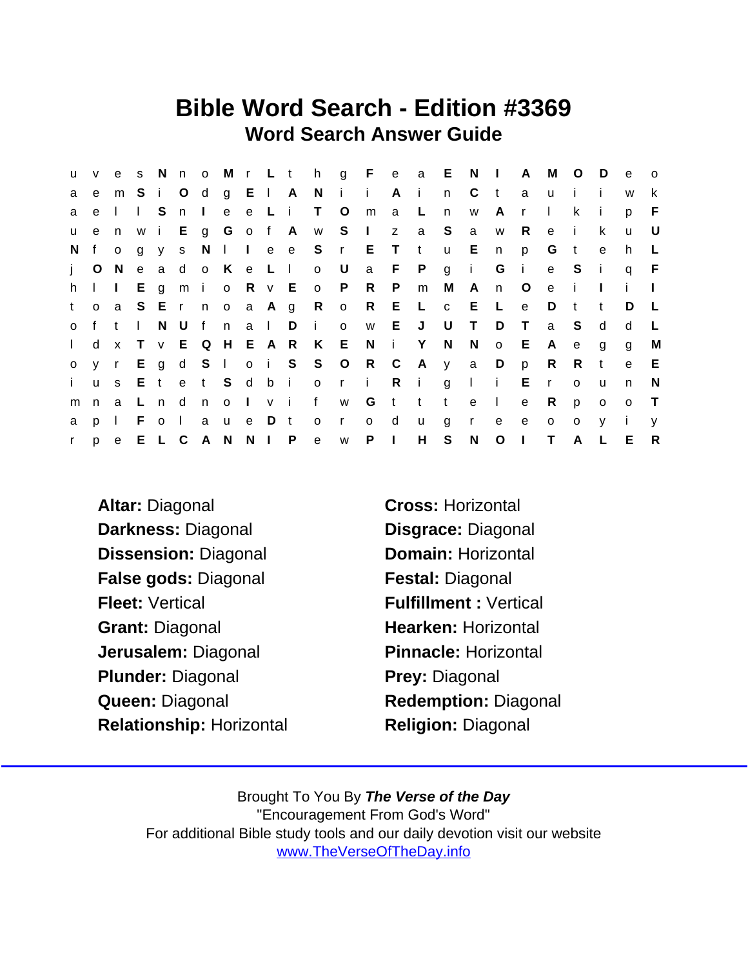## Bible Word Search - Edition #3369 Word Search Answer Guide

| u            | V                         | e –          | S.             |              |           |        |                |       |       |             |                         |                     |          |              | N n o M r L t h g F e a E N I |     |              |              | $\mathsf{A}$ | M            | $\circ$        | - D          | e            | $\circ$      |
|--------------|---------------------------|--------------|----------------|--------------|-----------|--------|----------------|-------|-------|-------------|-------------------------|---------------------|----------|--------------|-------------------------------|-----|--------------|--------------|--------------|--------------|----------------|--------------|--------------|--------------|
| a            | e                         |              |                |              | m S i O d |        |                |       |       |             |                         | g El A Nii          |          | A i          |                               | n   | C            | $\mathbf{t}$ | a            | u            | $\mathbf{I}$   |              | W            | k            |
| a            | e                         | $\mathbf{L}$ | $\mathbb{R}^n$ | S.           | n.        | $\Box$ | e              | e Li  |       |             | $\top$                  | $\overline{O}$      | m        | a            | $\mathsf{L}$                  | n   | W            | A            | $\mathsf{r}$ | $\mathbf{L}$ | k              | -i-          | p            | F.           |
| $\mathsf{u}$ | e                         | n            | W              | $\mathbf{i}$ |           |        |                |       |       | E g G o f A |                         | w S I               |          | $\mathsf{Z}$ | a S                           |     | <sub>a</sub> | W            | R.           | $\mathbf{e}$ | i.             | k            | $\mathsf{u}$ | U            |
| N.           | f                         | $\circ$      | $g \ y$        |              | S         |        |                |       |       |             | N I I e e S r           |                     | ET       |              | $-t$                          |     | $u$ E        | n            | p            | G            | $\mathbf{t}$   | e            | h.           | L.           |
| $i \circ$    |                           | N            | $\mathbf{e}$   |              |           |        | a d o K e L I  |       |       |             | $\circ$                 | $\cup$              | a        |              | F P                           |     | g i          | G            | $\mathbf{I}$ | e S          |                | $\sim 1$ .   | $\mathsf{q}$ | -F.          |
| h.           | $\mathbf{1}$ $\mathbf{1}$ |              | E.             | $\mathsf{g}$ |           |        |                |       |       |             | m i o R v E o P         |                     | R        | P            | m                             | M   | A            | n.           | $\circ$      | $\mathbf e$  | $\blacksquare$ | $\mathbf{I}$ | $\mathbf{L}$ |              |
| t.           | $\mathsf{o}$              | a S E r n    |                |              |           |        | o a A g        |       |       |             |                         | R o R E L           |          |              |                               | c E |              | $\mathsf{L}$ | $\mathbf{e}$ | D            | $\mathbf{t}$   | $^{\dagger}$ | D.           | $\mathsf{L}$ |
| $\circ$      | f t                       |              | $\mathbf{L}$   |              | N U f     |        | n              |       | a I   | D           | $\mathbf{i}$            | $\mathbf{o}$        | <b>W</b> | Е.           | J                             | U   | $\top$       | D            | $\top$       | a            | S.             | d            | d            | $\mathsf{L}$ |
| $\mathbf{L}$ | d                         | x T          |                |              |           |        | V E Q H E A R  |       |       |             |                         | K E N i Y           |          |              |                               | N.  | N.           | $\mathsf{o}$ | E            | A            | e              | g            | g            | М            |
| $\mathsf{o}$ | $y$ r                     |              |                | $E$ g        |           |        |                |       |       |             |                         | d S I o i S S O R C |          |              | A y a                         |     |              | D            | p            | R.           | R              | t            | $\mathbf{e}$ | E            |
| j.           | <b>u</b>                  | S            | E.             |              |           |        | t e t S d b i  |       |       |             | $\overline{\mathbf{0}}$ | r i                 |          |              | $R$ i                         | g   | $\sim 1$ .   | $\mathbf{i}$ | E.           | $\mathsf{r}$ | $\circ$        | u            | n.           | N.           |
| m            |                           | n a          | L.             | n d          |           | n      | $\overline{O}$ | I v i |       |             |                         | f w G t t           |          |              |                               | t   | e            | $\Box$       | $\mathbf{e}$ | R.           | p              | $\mathbf{o}$ | $\circ$      | $\top$       |
| a            | p                         | $\mathbf{L}$ | F.             |              | $\circ$ 1 |        | a u            |       | e D t |             | $\circ$                 | r                   | $\circ$  | d            | u                             | g   | $\mathsf{r}$ | e            | e            | $\circ$      | $\circ$        | V            | $\mathbf{i}$ | V            |
| $\mathbf{r}$ | p                         | e E L C      |                |              |           |        | A N N I P      |       |       |             | e                       | W                   | P        | $\mathbf{L}$ | H                             | S   | N            | $\circ$      | $\mathbf{L}$ | $\top$       | $\mathsf{A}$   |              | Е            | $\mathsf{R}$ |

Altar: Diagonal Cross: Horizontal Darkness: Diagonal Disgrace: Diagonal Dissension: Diagonal Domain: Horizontal False gods: Diagonal Festal: Diagonal Fleet: Vertical **Fulfillment** : Vertical Grant: Diagonal Hearken: Horizontal Jerusalem: Diagonal Pinnacle: Horizontal Plunder: Diagonal Prey: Diagonal Queen: Diagonal Redemption: Diagonal Relationship: Horizontal Religion: Diagonal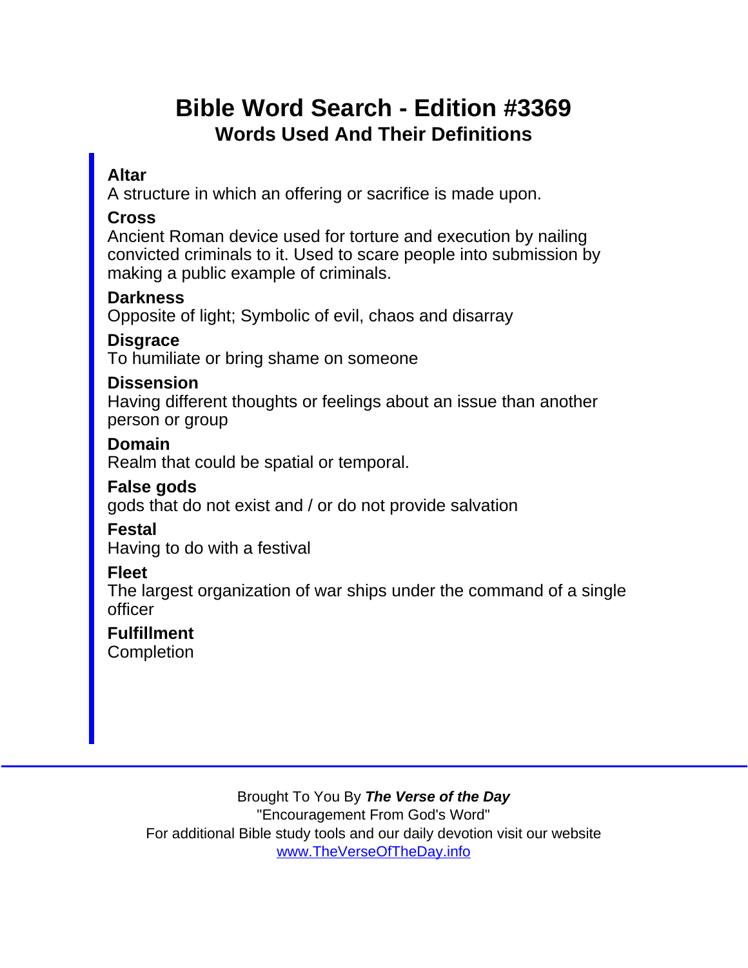# Bible Word Search - Edition #3369 Words Used And Their Definitions

#### Altar

A structure in which an offering or sacrifice is made upon.

Cross

Ancient Roman device used for torture and execution by nailing convicted criminals to it. Used to scare people into submission by making a public example of criminals.

**Darkness** 

Opposite of light; Symbolic of evil, chaos and disarray

**Disgrace** 

To humiliate or bring shame on someone

**Dissension** 

Having different thoughts or feelings about an issue than another person or group

Domain

Realm that could be spatial or temporal.

False gods

gods that do not exist and / or do not provide salvation

Festal

Having to do with a festival

Fleet

The largest organization of war ships under the command of a single officer

**Fulfillment Completion**